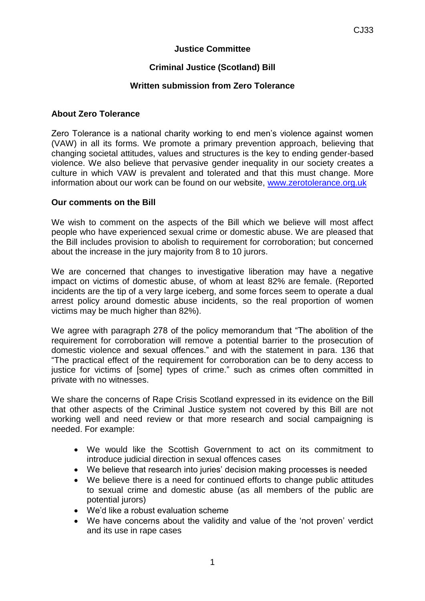## **Justice Committee**

# **Criminal Justice (Scotland) Bill**

### **Written submission from Zero Tolerance**

#### **About Zero Tolerance**

Zero Tolerance is a national charity working to end men's violence against women (VAW) in all its forms. We promote a primary prevention approach, believing that changing societal attitudes, values and structures is the key to ending gender-based violence. We also believe that pervasive gender inequality in our society creates a culture in which VAW is prevalent and tolerated and that this must change. More information about our work can be found on our website, [www.zerotolerance.org.uk](http://www.zerotolerance.org.uk/)

#### **Our comments on the Bill**

We wish to comment on the aspects of the Bill which we believe will most affect people who have experienced sexual crime or domestic abuse. We are pleased that the Bill includes provision to abolish to requirement for corroboration; but concerned about the increase in the jury majority from 8 to 10 jurors.

We are concerned that changes to investigative liberation may have a negative impact on victims of domestic abuse, of whom at least 82% are female. (Reported incidents are the tip of a very large iceberg, and some forces seem to operate a dual arrest policy around domestic abuse incidents, so the real proportion of women victims may be much higher than 82%).

We agree with paragraph 278 of the policy memorandum that "The abolition of the requirement for corroboration will remove a potential barrier to the prosecution of domestic violence and sexual offences." and with the statement in para. 136 that "The practical effect of the requirement for corroboration can be to deny access to justice for victims of [some] types of crime." such as crimes often committed in private with no witnesses.

We share the concerns of Rape Crisis Scotland expressed in its evidence on the Bill that other aspects of the Criminal Justice system not covered by this Bill are not working well and need review or that more research and social campaigning is needed. For example:

- We would like the Scottish Government to act on its commitment to introduce judicial direction in sexual offences cases
- We believe that research into juries' decision making processes is needed
- We believe there is a need for continued efforts to change public attitudes to sexual crime and domestic abuse (as all members of the public are potential jurors)
- We'd like a robust evaluation scheme
- We have concerns about the validity and value of the 'not proven' verdict and its use in rape cases